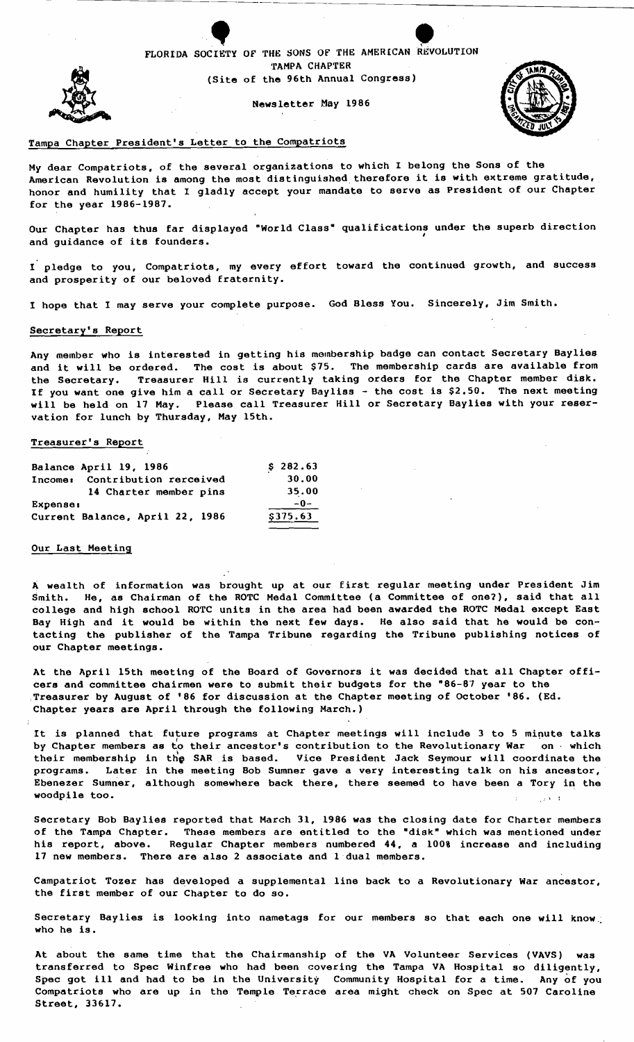

Newsletter May 1986



## Tampa Chapter President's Letter to the Compatriots

My dear Compatriots, of the several organizations to which I belong the Sons of the American Revolution is among the most distinguished, therefore it is with extreme gratitude, honor and humility that I gladly accept your mandate to serve as President of our Chapter for the year 1986-1987.

Our Chapter has thus far displayed "World Class" qualifications under the superb direction<br>and guidance of its founders.

I pledge to you, Compatriots, my every effort toward the continued growth, and success and prosperity of our beloved fraternity.

I hope that I may serve your complete purpose. God Bless You. Sincerely, Jim Smith.

#### Secretary's Report

Any member who is interested in getting his membership badge can contact Secretary Baylies and it will be ordered. The cost is about \$75. The membership cards are available from the Secretary. Treasurer Hill is currently taking orders for the Chapter member disk. If you want one give him a call or Secretary Bayliss - the cost is \$2.50. The next meeting will be held on 17 May. Please call Treasurer Hill or Secretary Baylies with your reservation for lunch by Thursday, May 15th.

## Treasurer's Report

| Balance April 19, 1986                          | \$282.63 |
|-------------------------------------------------|----------|
| <b>Contribution rerceived</b><br><b>Income:</b> | 30.00    |
| 14 Charter member pins                          | 35.00    |
| <b>Expense:</b>                                 | $-0-$    |
| Current Balance, April 22, 1986                 | \$375.63 |

#### Our Last Meeting

<sup>A</sup>wealth of information was brought up at our first regular meeting under President Jim Smith. He, as Chairman of the ROTC Medal Committee (a Committee of one?), said that all college and high school ROTC units in the area had been awarded the ROTC Medal except East Bay High and it would be within the next few days. He also said that he would be contacting the publisher of the Tampa Tribune regarding the Tribune publishing notices of our Chapter meetings.

At the April 15th meeting of the Board of Governors it was decided that all Chapter officers and committee chairmen were to submit their budgets for the "86-87 year to the Treasurer by August of '86 for discussion at the Chapter meeting of October '86. (Ed. Chapter years are April through the following March.)

It is planned that future programs at Chapter meetings will include 3 to 5 minute talks by Chapter members as to their ancestor's contribution to the Revolutionary War on, which their membership in the SAR is based. Vice President Jack Seymour will coordinate the programs. Later in the meeting Bob Sumner gave a very interesting talk on his ancestor, Ebenezer Sumner, although somewhere back there, there seemed to have been a Tory in the woodpile too.

Secretary Bob Baylies reported that March 31, 1986 was the closing date for Charter members of the Tampa Chapter. These members are entitled to the "disk" which was mentioned under his report, above. Regular Chapter members numbered **44,** a 100% increase and including 17 new members. There are also 2 associate and 1 dual members.

Campatriot Tozer has developed a supplemental line back to a Revolutionary War ancestor, the first member of our Chapter to do so.

Secretary Baylies is looking into nametags for our members so that each one will know.; who he is.

At about the same time that the Chairmanship of the VA Volunteer Services (VAVS) was transferred to Spec Winfree who had been covering the Tampa VA Hospital so diligently, Spec got ill and had to be in the University Community Hospital for a time. Any of you compatriots who are up in the Temple Terrace area might check on Spec at 507 Caroline Street, 33617.